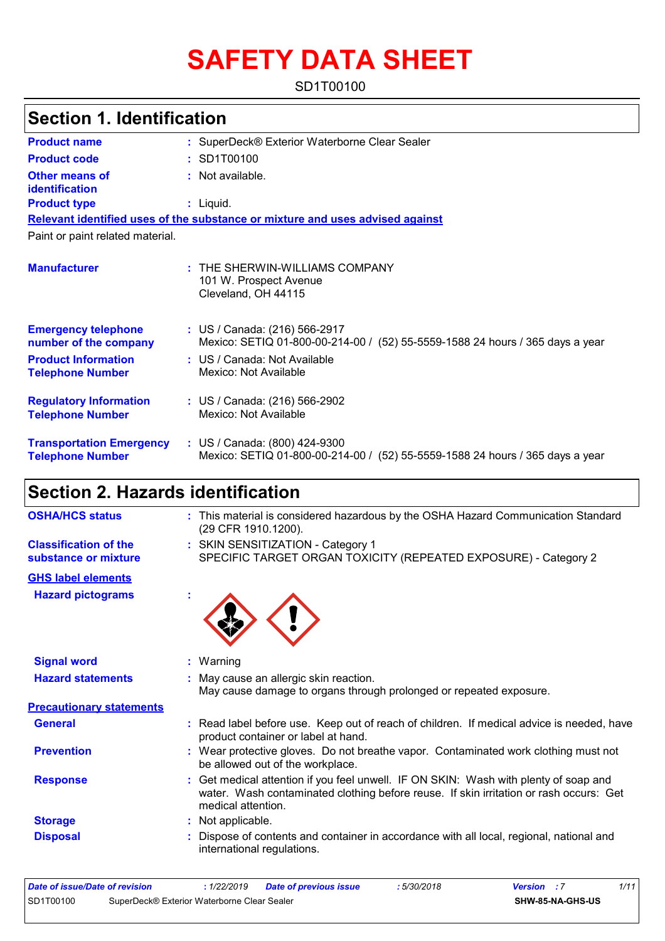# **SAFETY DATA SHEET**

SD1T00100

### **Section 1. Identification**

| <b>Product name</b>                                        | : SuperDeck® Exterior Waterborne Clear Sealer                                                                  |
|------------------------------------------------------------|----------------------------------------------------------------------------------------------------------------|
| <b>Product code</b>                                        | : SD1T00100                                                                                                    |
| <b>Other means of</b><br>identification                    | : Not available.                                                                                               |
| <b>Product type</b>                                        | $:$ Liquid.                                                                                                    |
|                                                            | Relevant identified uses of the substance or mixture and uses advised against                                  |
| Paint or paint related material.                           |                                                                                                                |
| <b>Manufacturer</b>                                        | : THE SHERWIN-WILLIAMS COMPANY<br>101 W. Prospect Avenue<br>Cleveland, OH 44115                                |
| <b>Emergency telephone</b><br>number of the company        | : US / Canada: (216) 566-2917<br>Mexico: SETIQ 01-800-00-214-00 / (52) 55-5559-1588 24 hours / 365 days a year |
| <b>Product Information</b><br><b>Telephone Number</b>      | : US / Canada: Not Available<br>Mexico: Not Available                                                          |
| <b>Regulatory Information</b><br><b>Telephone Number</b>   | : US / Canada: (216) 566-2902<br>Mexico: Not Available                                                         |
| <b>Transportation Emergency</b><br><b>Telephone Number</b> | : US / Canada: (800) 424-9300<br>Mexico: SETIQ 01-800-00-214-00 / (52) 55-5559-1588 24 hours / 365 days a year |

## **Section 2. Hazards identification**

| <b>OSHA/HCS status</b>                               | : This material is considered hazardous by the OSHA Hazard Communication Standard<br>(29 CFR 1910.1200).                                                                                             |
|------------------------------------------------------|------------------------------------------------------------------------------------------------------------------------------------------------------------------------------------------------------|
| <b>Classification of the</b><br>substance or mixture | : SKIN SENSITIZATION - Category 1<br>SPECIFIC TARGET ORGAN TOXICITY (REPEATED EXPOSURE) - Category 2                                                                                                 |
| <b>GHS label elements</b>                            |                                                                                                                                                                                                      |
| <b>Hazard pictograms</b>                             |                                                                                                                                                                                                      |
| <b>Signal word</b>                                   | : Warning                                                                                                                                                                                            |
| <b>Hazard statements</b>                             | : May cause an allergic skin reaction.<br>May cause damage to organs through prolonged or repeated exposure.                                                                                         |
| <b>Precautionary statements</b>                      |                                                                                                                                                                                                      |
| <b>General</b>                                       | : Read label before use. Keep out of reach of children. If medical advice is needed, have<br>product container or label at hand.                                                                     |
| <b>Prevention</b>                                    | : Wear protective gloves. Do not breathe vapor. Contaminated work clothing must not<br>be allowed out of the workplace.                                                                              |
| <b>Response</b>                                      | : Get medical attention if you feel unwell. IF ON SKIN: Wash with plenty of soap and<br>water. Wash contaminated clothing before reuse. If skin irritation or rash occurs: Get<br>medical attention. |
| <b>Storage</b>                                       | : Not applicable.                                                                                                                                                                                    |
| <b>Disposal</b>                                      | Dispose of contents and container in accordance with all local, regional, national and<br>international regulations.                                                                                 |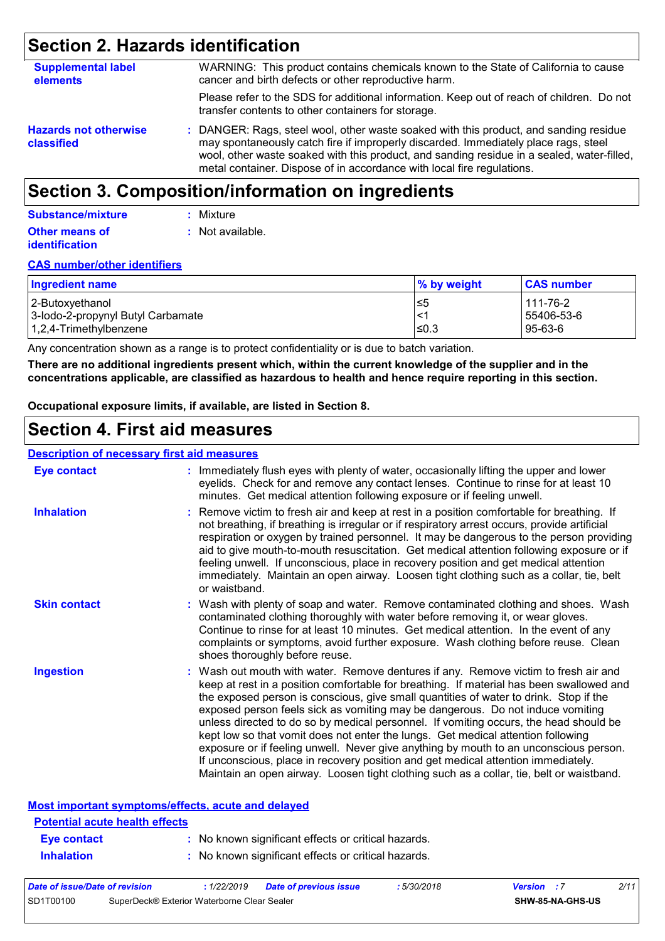## **Section 2. Hazards identification**

| <b>Supplemental label</b><br>elements      | WARNING: This product contains chemicals known to the State of California to cause<br>cancer and birth defects or other reproductive harm.                                                                                                                                                                                                           |
|--------------------------------------------|------------------------------------------------------------------------------------------------------------------------------------------------------------------------------------------------------------------------------------------------------------------------------------------------------------------------------------------------------|
|                                            | Please refer to the SDS for additional information. Keep out of reach of children. Do not<br>transfer contents to other containers for storage.                                                                                                                                                                                                      |
| <b>Hazards not otherwise</b><br>classified | : DANGER: Rags, steel wool, other waste soaked with this product, and sanding residue<br>may spontaneously catch fire if improperly discarded. Immediately place rags, steel<br>wool, other waste soaked with this product, and sanding residue in a sealed, water-filled,<br>metal container. Dispose of in accordance with local fire regulations. |

## **Section 3. Composition/information on ingredients**

| <b>Substance/mixture</b> | : Mixture        |
|--------------------------|------------------|
| Other means of           | : Not available. |
| <b>identification</b>    |                  |

#### **CAS number/other identifiers**

| Ingredient name                   | % by weight | <b>CAS number</b> |
|-----------------------------------|-------------|-------------------|
| 2-Butoxyethanol                   | 5≤ا         | 111-76-2          |
| 3-lodo-2-propynyl Butyl Carbamate | $\leq$      | 55406-53-6        |
| $1,2,4$ -Trimethylbenzene         | l≤0.3       | 95-63-6           |

Any concentration shown as a range is to protect confidentiality or is due to batch variation.

**There are no additional ingredients present which, within the current knowledge of the supplier and in the concentrations applicable, are classified as hazardous to health and hence require reporting in this section.**

**Occupational exposure limits, if available, are listed in Section 8.**

### **Section 4. First aid measures**

| <b>Description of necessary first aid measures</b> |                                                                                                                                                                                                                                                                                                                                                                                                                                                                                                                                                                                                                                                                                                                                                                                                                   |
|----------------------------------------------------|-------------------------------------------------------------------------------------------------------------------------------------------------------------------------------------------------------------------------------------------------------------------------------------------------------------------------------------------------------------------------------------------------------------------------------------------------------------------------------------------------------------------------------------------------------------------------------------------------------------------------------------------------------------------------------------------------------------------------------------------------------------------------------------------------------------------|
| <b>Eye contact</b>                                 | : Immediately flush eyes with plenty of water, occasionally lifting the upper and lower<br>eyelids. Check for and remove any contact lenses. Continue to rinse for at least 10<br>minutes. Get medical attention following exposure or if feeling unwell.                                                                                                                                                                                                                                                                                                                                                                                                                                                                                                                                                         |
| <b>Inhalation</b>                                  | : Remove victim to fresh air and keep at rest in a position comfortable for breathing. If<br>not breathing, if breathing is irregular or if respiratory arrest occurs, provide artificial<br>respiration or oxygen by trained personnel. It may be dangerous to the person providing<br>aid to give mouth-to-mouth resuscitation. Get medical attention following exposure or if<br>feeling unwell. If unconscious, place in recovery position and get medical attention<br>immediately. Maintain an open airway. Loosen tight clothing such as a collar, tie, belt<br>or waistband.                                                                                                                                                                                                                              |
| <b>Skin contact</b>                                | : Wash with plenty of soap and water. Remove contaminated clothing and shoes. Wash<br>contaminated clothing thoroughly with water before removing it, or wear gloves.<br>Continue to rinse for at least 10 minutes. Get medical attention. In the event of any<br>complaints or symptoms, avoid further exposure. Wash clothing before reuse. Clean<br>shoes thoroughly before reuse.                                                                                                                                                                                                                                                                                                                                                                                                                             |
| <b>Ingestion</b>                                   | : Wash out mouth with water. Remove dentures if any. Remove victim to fresh air and<br>keep at rest in a position comfortable for breathing. If material has been swallowed and<br>the exposed person is conscious, give small quantities of water to drink. Stop if the<br>exposed person feels sick as vomiting may be dangerous. Do not induce vomiting<br>unless directed to do so by medical personnel. If vomiting occurs, the head should be<br>kept low so that vomit does not enter the lungs. Get medical attention following<br>exposure or if feeling unwell. Never give anything by mouth to an unconscious person.<br>If unconscious, place in recovery position and get medical attention immediately.<br>Maintain an open airway. Loosen tight clothing such as a collar, tie, belt or waistband. |

| Most important symptoms/effects, acute and delayed |                                                     |
|----------------------------------------------------|-----------------------------------------------------|
| <b>Potential acute health effects</b>              |                                                     |
| <b>Eye contact</b>                                 | : No known significant effects or critical hazards. |
| <b>Inhalation</b>                                  | : No known significant effects or critical hazards. |
|                                                    |                                                     |

| Date of issue/Date of revision |                                             | 1/22/2019 | <b>Date of previous issue</b> | : 5/30/2018 | <b>Version</b> : 7 |                         | 2/11 |
|--------------------------------|---------------------------------------------|-----------|-------------------------------|-------------|--------------------|-------------------------|------|
| SD1T00100                      | SuperDeck® Exterior Waterborne Clear Sealer |           |                               |             |                    | <b>SHW-85-NA-GHS-US</b> |      |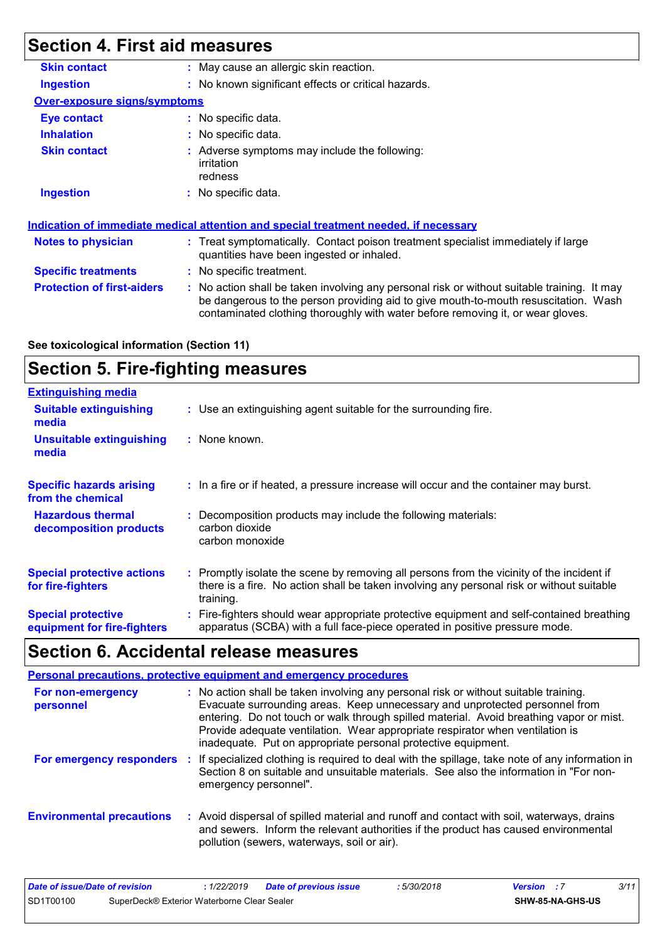## **Section 4. First aid measures**

| <b>Skin contact</b>                 | : May cause an allergic skin reaction.                                                                                                                                                                                                                                |
|-------------------------------------|-----------------------------------------------------------------------------------------------------------------------------------------------------------------------------------------------------------------------------------------------------------------------|
| <b>Ingestion</b>                    | : No known significant effects or critical hazards.                                                                                                                                                                                                                   |
| <b>Over-exposure signs/symptoms</b> |                                                                                                                                                                                                                                                                       |
| Eye contact                         | : No specific data.                                                                                                                                                                                                                                                   |
| <b>Inhalation</b>                   | : No specific data.                                                                                                                                                                                                                                                   |
| <b>Skin contact</b>                 | : Adverse symptoms may include the following:<br>irritation<br>redness                                                                                                                                                                                                |
| <b>Ingestion</b>                    | : No specific data.                                                                                                                                                                                                                                                   |
|                                     | Indication of immediate medical attention and special treatment needed, if necessary                                                                                                                                                                                  |
| Notes to physician                  | : Treat symptomatically. Contact poison treatment specialist immediately if large<br>quantities have been ingested or inhaled.                                                                                                                                        |
| <b>Specific treatments</b>          | : No specific treatment.                                                                                                                                                                                                                                              |
| <b>Protection of first-aiders</b>   | : No action shall be taken involving any personal risk or without suitable training. It may<br>be dangerous to the person providing aid to give mouth-to-mouth resuscitation. Wash<br>contaminated clothing thoroughly with water before removing it, or wear gloves. |

#### **See toxicological information (Section 11)**

## **Section 5. Fire-fighting measures**

| <b>Extinguishing media</b>                               |                                                                                                                                                                                                     |
|----------------------------------------------------------|-----------------------------------------------------------------------------------------------------------------------------------------------------------------------------------------------------|
| <b>Suitable extinguishing</b><br>media                   | : Use an extinguishing agent suitable for the surrounding fire.                                                                                                                                     |
| <b>Unsuitable extinguishing</b><br>media                 | : None known.                                                                                                                                                                                       |
| <b>Specific hazards arising</b><br>from the chemical     | : In a fire or if heated, a pressure increase will occur and the container may burst.                                                                                                               |
| <b>Hazardous thermal</b><br>decomposition products       | Decomposition products may include the following materials:<br>carbon dioxide<br>carbon monoxide                                                                                                    |
| <b>Special protective actions</b><br>for fire-fighters   | : Promptly isolate the scene by removing all persons from the vicinity of the incident if<br>there is a fire. No action shall be taken involving any personal risk or without suitable<br>training. |
| <b>Special protective</b><br>equipment for fire-fighters | Fire-fighters should wear appropriate protective equipment and self-contained breathing<br>apparatus (SCBA) with a full face-piece operated in positive pressure mode.                              |

### **Section 6. Accidental release measures**

#### **Personal precautions, protective equipment and emergency procedures**

| For non-emergency<br>personnel   | : No action shall be taken involving any personal risk or without suitable training.<br>Evacuate surrounding areas. Keep unnecessary and unprotected personnel from<br>entering. Do not touch or walk through spilled material. Avoid breathing vapor or mist.<br>Provide adequate ventilation. Wear appropriate respirator when ventilation is<br>inadequate. Put on appropriate personal protective equipment. |
|----------------------------------|------------------------------------------------------------------------------------------------------------------------------------------------------------------------------------------------------------------------------------------------------------------------------------------------------------------------------------------------------------------------------------------------------------------|
| For emergency responders         | If specialized clothing is required to deal with the spillage, take note of any information in<br>Section 8 on suitable and unsuitable materials. See also the information in "For non-<br>emergency personnel".                                                                                                                                                                                                 |
| <b>Environmental precautions</b> | : Avoid dispersal of spilled material and runoff and contact with soil, waterways, drains<br>and sewers. Inform the relevant authorities if the product has caused environmental<br>pollution (sewers, waterways, soil or air).                                                                                                                                                                                  |

| Date of issue/Date of revision                           |  | 1/22/2019 | Date of previous issue | : 5/30/2018 | <b>Version</b> : 7 |                  | 3/11 |
|----------------------------------------------------------|--|-----------|------------------------|-------------|--------------------|------------------|------|
| SD1T00100<br>SuperDeck® Exterior Waterborne Clear Sealer |  |           |                        |             |                    | SHW-85-NA-GHS-US |      |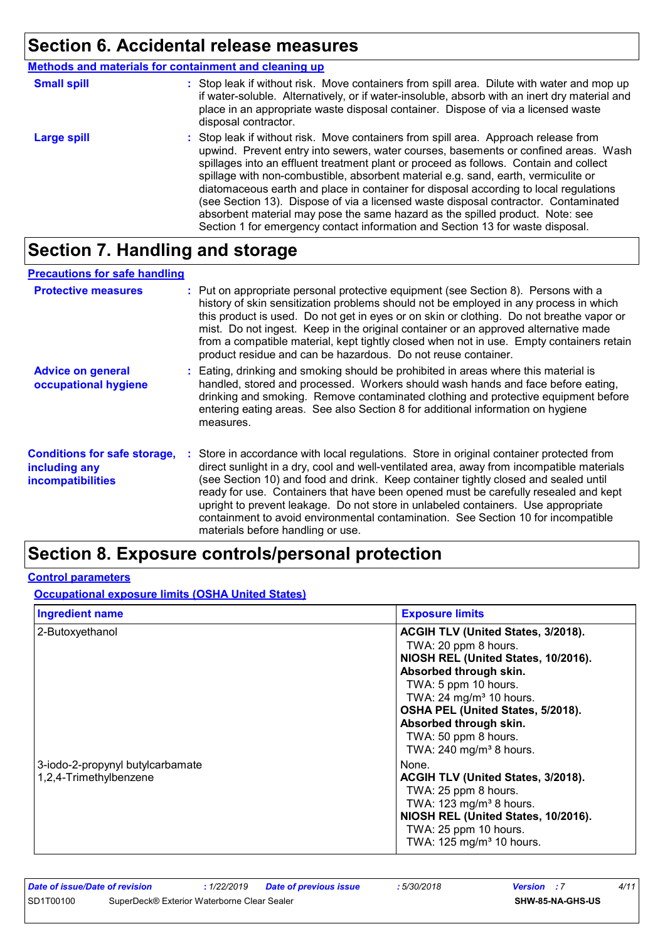### **Section 6. Accidental release measures**

**Methods and materials for containment and cleaning up**

| <b>Small spill</b> | : Stop leak if without risk. Move containers from spill area. Dilute with water and mop up<br>if water-soluble. Alternatively, or if water-insoluble, absorb with an inert dry material and<br>place in an appropriate waste disposal container. Dispose of via a licensed waste<br>disposal contractor.                                                                                                                                                                                                                                                                                                                                                                                                     |
|--------------------|--------------------------------------------------------------------------------------------------------------------------------------------------------------------------------------------------------------------------------------------------------------------------------------------------------------------------------------------------------------------------------------------------------------------------------------------------------------------------------------------------------------------------------------------------------------------------------------------------------------------------------------------------------------------------------------------------------------|
| <b>Large spill</b> | : Stop leak if without risk. Move containers from spill area. Approach release from<br>upwind. Prevent entry into sewers, water courses, basements or confined areas. Wash<br>spillages into an effluent treatment plant or proceed as follows. Contain and collect<br>spillage with non-combustible, absorbent material e.g. sand, earth, vermiculite or<br>diatomaceous earth and place in container for disposal according to local regulations<br>(see Section 13). Dispose of via a licensed waste disposal contractor. Contaminated<br>absorbent material may pose the same hazard as the spilled product. Note: see<br>Section 1 for emergency contact information and Section 13 for waste disposal. |

### **Section 7. Handling and storage**

#### **Advice on general occupational hygiene Conditions for safe storage, :** Store in accordance with local regulations. Store in original container protected from **including any incompatibilities** Eating, drinking and smoking should be prohibited in areas where this material is **:** handled, stored and processed. Workers should wash hands and face before eating, drinking and smoking. Remove contaminated clothing and protective equipment before entering eating areas. See also Section 8 for additional information on hygiene measures. direct sunlight in a dry, cool and well-ventilated area, away from incompatible materials (see Section 10) and food and drink. Keep container tightly closed and sealed until ready for use. Containers that have been opened must be carefully resealed and kept upright to prevent leakage. Do not store in unlabeled containers. Use appropriate containment to avoid environmental contamination. See Section 10 for incompatible materials before handling or use. **Protective measures** : Put on appropriate personal protective equipment (see Section 8). Persons with a **Protestion** history of skin sensitization problems should not be employed in any process in which this product is used. Do not get in eyes or on skin or clothing. Do not breathe vapor or mist. Do not ingest. Keep in the original container or an approved alternative made from a compatible material, kept tightly closed when not in use. Empty containers retain product residue and can be hazardous. Do not reuse container. **Precautions for safe handling**

### **Section 8. Exposure controls/personal protection**

#### **Control parameters**

**Occupational exposure limits (OSHA United States)**

| <b>Ingredient name</b>                                     | <b>Exposure limits</b>                                                                                                                                                                                                                                                                                                    |
|------------------------------------------------------------|---------------------------------------------------------------------------------------------------------------------------------------------------------------------------------------------------------------------------------------------------------------------------------------------------------------------------|
| 2-Butoxyethanol                                            | ACGIH TLV (United States, 3/2018).<br>TWA: 20 ppm 8 hours.<br>NIOSH REL (United States, 10/2016).<br>Absorbed through skin.<br>TWA: 5 ppm 10 hours.<br>TWA: $24 \text{ mg/m}^3$ 10 hours.<br>OSHA PEL (United States, 5/2018).<br>Absorbed through skin.<br>TWA: 50 ppm 8 hours.<br>TWA: $240$ mg/m <sup>3</sup> 8 hours. |
| 3-iodo-2-propynyl butylcarbamate<br>1,2,4-Trimethylbenzene | None.<br>ACGIH TLV (United States, 3/2018).<br>TWA: 25 ppm 8 hours.<br>TWA: $123$ mg/m <sup>3</sup> 8 hours.<br>NIOSH REL (United States, 10/2016).<br>TWA: 25 ppm 10 hours.<br>TWA: 125 mg/m <sup>3</sup> 10 hours.                                                                                                      |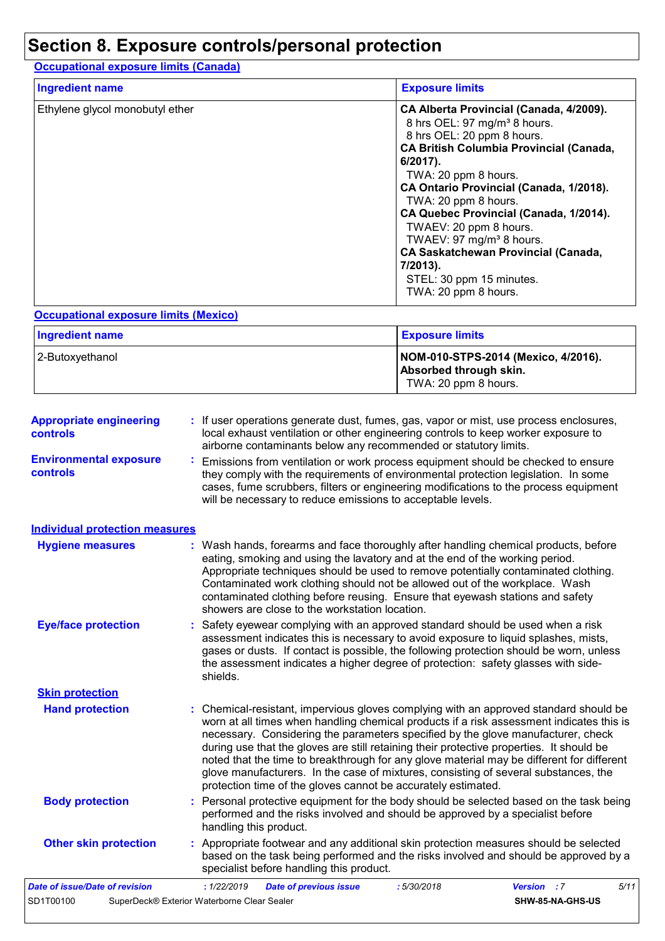### **Section 8. Exposure controls/personal protection**

**Occupational exposure limits (Canada)**

| <b>Ingredient name</b>          | <b>Exposure limits</b>                                                                                                                                                                                                                                                                                                  |
|---------------------------------|-------------------------------------------------------------------------------------------------------------------------------------------------------------------------------------------------------------------------------------------------------------------------------------------------------------------------|
| Ethylene glycol monobutyl ether | CA Alberta Provincial (Canada, 4/2009).<br>8 hrs OEL: 97 mg/m <sup>3</sup> 8 hours.<br>8 hrs OEL: 20 ppm 8 hours.<br><b>CA British Columbia Provincial (Canada,</b><br>$6/2017$ ).<br>TWA: 20 ppm 8 hours.<br>CA Ontario Provincial (Canada, 1/2018).<br>TWA: 20 ppm 8 hours.<br>CA Quebec Provincial (Canada, 1/2014). |
|                                 | TWAEV: 20 ppm 8 hours.<br>TWAEV: 97 mg/m <sup>3</sup> 8 hours.<br><b>CA Saskatchewan Provincial (Canada,</b>                                                                                                                                                                                                            |
|                                 | 7/2013).<br>STEL: 30 ppm 15 minutes.<br>TWA: 20 ppm 8 hours.                                                                                                                                                                                                                                                            |

#### **Occupational exposure limits (Mexico)**

| <b>Ingredient name</b> | <b>Exposure limits</b>                                                                |
|------------------------|---------------------------------------------------------------------------------------|
| 2-Butoxyethanol        | NOM-010-STPS-2014 (Mexico, 4/2016).<br>Absorbed through skin.<br>TWA: 20 ppm 8 hours. |

| <b>Appropriate engineering</b><br>controls | : If user operations generate dust, fumes, gas, vapor or mist, use process enclosures,<br>local exhaust ventilation or other engineering controls to keep worker exposure to<br>airborne contaminants below any recommended or statutory limits.                                                                                                                                                                                                                                                                                                                                                                       |
|--------------------------------------------|------------------------------------------------------------------------------------------------------------------------------------------------------------------------------------------------------------------------------------------------------------------------------------------------------------------------------------------------------------------------------------------------------------------------------------------------------------------------------------------------------------------------------------------------------------------------------------------------------------------------|
| <b>Environmental exposure</b><br>controls  | Emissions from ventilation or work process equipment should be checked to ensure<br>÷.<br>they comply with the requirements of environmental protection legislation. In some<br>cases, fume scrubbers, filters or engineering modifications to the process equipment<br>will be necessary to reduce emissions to acceptable levels.                                                                                                                                                                                                                                                                                    |
| <b>Individual protection measures</b>      |                                                                                                                                                                                                                                                                                                                                                                                                                                                                                                                                                                                                                        |
| <b>Hygiene measures</b>                    | : Wash hands, forearms and face thoroughly after handling chemical products, before<br>eating, smoking and using the lavatory and at the end of the working period.<br>Appropriate techniques should be used to remove potentially contaminated clothing.<br>Contaminated work clothing should not be allowed out of the workplace. Wash<br>contaminated clothing before reusing. Ensure that eyewash stations and safety<br>showers are close to the workstation location.                                                                                                                                            |
| <b>Eye/face protection</b>                 | : Safety eyewear complying with an approved standard should be used when a risk<br>assessment indicates this is necessary to avoid exposure to liquid splashes, mists,<br>gases or dusts. If contact is possible, the following protection should be worn, unless<br>the assessment indicates a higher degree of protection: safety glasses with side-<br>shields.                                                                                                                                                                                                                                                     |
| <b>Skin protection</b>                     |                                                                                                                                                                                                                                                                                                                                                                                                                                                                                                                                                                                                                        |
| <b>Hand protection</b>                     | : Chemical-resistant, impervious gloves complying with an approved standard should be<br>worn at all times when handling chemical products if a risk assessment indicates this is<br>necessary. Considering the parameters specified by the glove manufacturer, check<br>during use that the gloves are still retaining their protective properties. It should be<br>noted that the time to breakthrough for any glove material may be different for different<br>glove manufacturers. In the case of mixtures, consisting of several substances, the<br>protection time of the gloves cannot be accurately estimated. |
| <b>Body protection</b>                     | : Personal protective equipment for the body should be selected based on the task being<br>performed and the risks involved and should be approved by a specialist before<br>handling this product.                                                                                                                                                                                                                                                                                                                                                                                                                    |
| <b>Other skin protection</b>               | : Appropriate footwear and any additional skin protection measures should be selected<br>based on the task being performed and the risks involved and should be approved by a<br>specialist before handling this product.                                                                                                                                                                                                                                                                                                                                                                                              |
| Date of issue/Date of revision             | : 1/22/2019<br><b>Date of previous issue</b><br>5/11<br>:5/30/2018<br><b>Version</b> : 7                                                                                                                                                                                                                                                                                                                                                                                                                                                                                                                               |
| SD1T00100                                  | SuperDeck® Exterior Waterborne Clear Sealer<br>SHW-85-NA-GHS-US                                                                                                                                                                                                                                                                                                                                                                                                                                                                                                                                                        |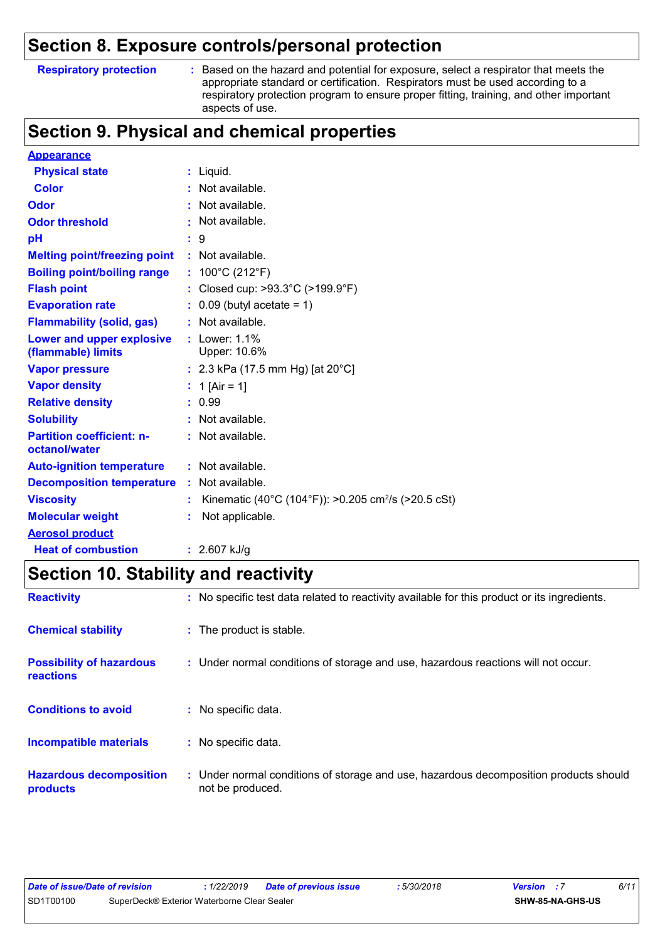### **Section 8. Exposure controls/personal protection**

#### **Respiratory protection :**

Based on the hazard and potential for exposure, select a respirator that meets the appropriate standard or certification. Respirators must be used according to a respiratory protection program to ensure proper fitting, training, and other important aspects of use.

### **Section 9. Physical and chemical properties**

| <b>Appearance</b>                                 |                                                                 |
|---------------------------------------------------|-----------------------------------------------------------------|
| <b>Physical state</b>                             | $:$ Liquid.                                                     |
| <b>Color</b>                                      | $:$ Not available.                                              |
| Odor                                              | : Not available.                                                |
| <b>Odor threshold</b>                             | $:$ Not available.                                              |
| pH                                                | : 9                                                             |
| <b>Melting point/freezing point</b>               | : Not available.                                                |
| <b>Boiling point/boiling range</b>                | : $100^{\circ}$ C (212 $^{\circ}$ F)                            |
| <b>Flash point</b>                                | : Closed cup: >93.3°C (>199.9°F)                                |
| <b>Evaporation rate</b>                           | $\therefore$ 0.09 (butyl acetate = 1)                           |
| <b>Flammability (solid, gas)</b>                  | $:$ Not available.                                              |
| Lower and upper explosive                         | $:$ Lower: 1.1%<br>Upper: 10.6%                                 |
| (flammable) limits                                |                                                                 |
| <b>Vapor pressure</b>                             | : 2.3 kPa (17.5 mm Hg) [at $20^{\circ}$ C]                      |
| <b>Vapor density</b>                              | : 1 [Air = 1]                                                   |
| <b>Relative density</b>                           | : 0.99                                                          |
| <b>Solubility</b>                                 | : Not available.                                                |
| <b>Partition coefficient: n-</b><br>octanol/water | : Not available.                                                |
|                                                   |                                                                 |
| <b>Auto-ignition temperature</b>                  | $:$ Not available.                                              |
| <b>Decomposition temperature</b>                  | : Not available.                                                |
| <b>Viscosity</b>                                  | Kinematic (40°C (104°F)): >0.205 cm <sup>2</sup> /s (>20.5 cSt) |
| <b>Molecular weight</b>                           | Not applicable.                                                 |
| <b>Aerosol product</b>                            |                                                                 |
| <b>Heat of combustion</b>                         | : $2.607$ kJ/g                                                  |

### **Section 10. Stability and reactivity**

| <b>Reactivity</b>                                   | : No specific test data related to reactivity available for this product or its ingredients.              |
|-----------------------------------------------------|-----------------------------------------------------------------------------------------------------------|
| <b>Chemical stability</b>                           | : The product is stable.                                                                                  |
| <b>Possibility of hazardous</b><br><b>reactions</b> | : Under normal conditions of storage and use, hazardous reactions will not occur.                         |
| <b>Conditions to avoid</b>                          | : No specific data.                                                                                       |
| <b>Incompatible materials</b>                       | : No specific data.                                                                                       |
| <b>Hazardous decomposition</b><br>products          | : Under normal conditions of storage and use, hazardous decomposition products should<br>not be produced. |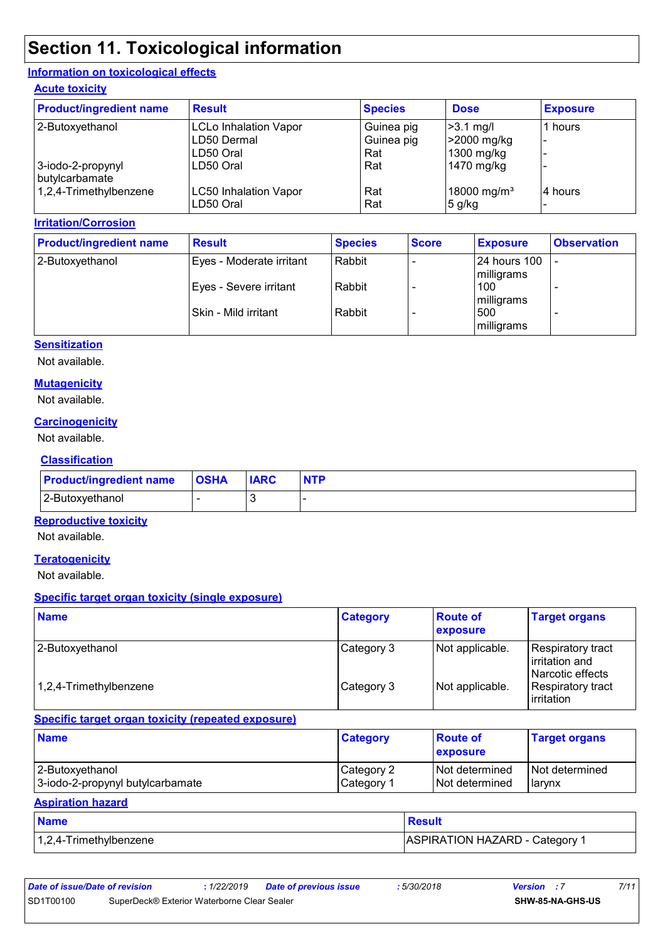### **Section 11. Toxicological information**

#### **Information on toxicological effects**

#### **Acute toxicity**

| <b>Product/ingredient name</b> | <b>Result</b>                | <b>Species</b> | <b>Dose</b>             | <b>Exposure</b> |
|--------------------------------|------------------------------|----------------|-------------------------|-----------------|
| 2-Butoxyethanol                | <b>LCLo Inhalation Vapor</b> | Guinea pig     | $\geq$ 3.1 mg/l         | 1 hours         |
|                                | LD50 Dermal                  | Guinea pig     | >2000 mg/kg             |                 |
|                                | LD50 Oral                    | Rat            | 1300 mg/kg              |                 |
| 3-iodo-2-propynyl              | LD50 Oral                    | Rat            | 1470 mg/kg              |                 |
| butylcarbamate                 |                              |                |                         |                 |
| 1,2,4-Trimethylbenzene         | <b>LC50 Inhalation Vapor</b> | Rat            | 18000 mg/m <sup>3</sup> | 4 hours         |
|                                | LD50 Oral                    | Rat            | $5$ g/kg                |                 |

#### **Irritation/Corrosion**

| <b>Product/ingredient name</b> | <b>Result</b>            | <b>Species</b> | <b>Score</b> | <b>Exposure</b>            | <b>Observation</b> |
|--------------------------------|--------------------------|----------------|--------------|----------------------------|--------------------|
| 2-Butoxyethanol                | Eyes - Moderate irritant | Rabbit         |              | 24 hours 100<br>milligrams |                    |
|                                | Eyes - Severe irritant   | Rabbit         |              | 100<br>milligrams          |                    |
|                                | Skin - Mild irritant     | Rabbit         |              | 500<br>milligrams          |                    |

#### **Sensitization**

Not available.

#### **Mutagenicity**

Not available.

#### **Carcinogenicity**

Not available.

#### **Classification**

| <b>Product/ingredient name OSHA</b> | <b>IARC</b> | <b>NTP</b> |
|-------------------------------------|-------------|------------|
| 2-Butoxyethanol                     |             |            |

#### **Reproductive toxicity**

Not available.

#### **Teratogenicity**

Not available.

#### **Specific target organ toxicity (single exposure)**

| <b>Name</b>            | <b>Category</b> | <b>Route of</b><br>exposure | <b>Target organs</b>                                    |
|------------------------|-----------------|-----------------------------|---------------------------------------------------------|
| 2-Butoxyethanol        | Category 3      | Not applicable.             | Respiratory tract<br>irritation and<br>Narcotic effects |
| 1,2,4-Trimethylbenzene | Category 3      | Not applicable.             | Respiratory tract<br><b>lirritation</b>                 |

#### **Specific target organ toxicity (repeated exposure)**

| <b>Name</b>                      | <b>Category</b> | <b>Route of</b><br>exposure | <b>Target organs</b> |
|----------------------------------|-----------------|-----------------------------|----------------------|
| 2-Butoxyethanol                  | Category 2      | <b>Not determined</b>       | I Not determined     |
| 3-iodo-2-propynyl butylcarbamate | Category 1      | INot determined             | <b>I</b> arvnx       |

#### **Aspiration hazard**

| <b>Name</b>               | <b>Result</b>                  |
|---------------------------|--------------------------------|
| $1,2,4$ -Trimethylbenzene | ASPIRATION HAZARD - Category 1 |

| Date of issue/Date of revision |                                             | 1/22/2019 | <b>Date of previous issue</b> | 5/30/2018 | <b>Version</b> : 7 |                         | 7/11 |
|--------------------------------|---------------------------------------------|-----------|-------------------------------|-----------|--------------------|-------------------------|------|
| SD1T00100                      | SuperDeck® Exterior Waterborne Clear Sealer |           |                               |           |                    | <b>SHW-85-NA-GHS-US</b> |      |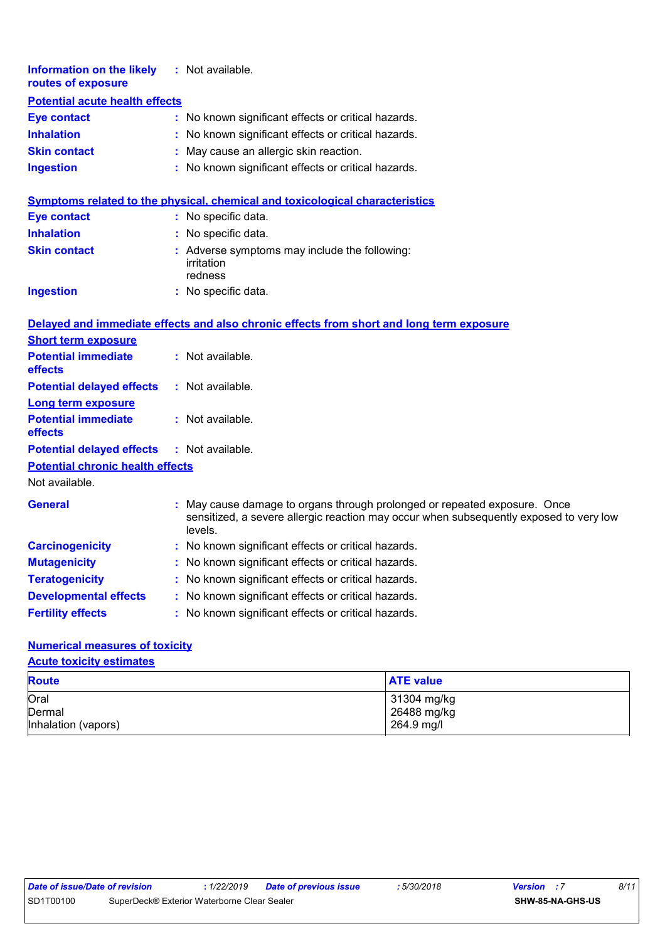| <b>Information on the likely</b><br>routes of exposure |    | : Not available.                                                                                                                                                             |
|--------------------------------------------------------|----|------------------------------------------------------------------------------------------------------------------------------------------------------------------------------|
| <b>Potential acute health effects</b>                  |    |                                                                                                                                                                              |
| <b>Eye contact</b>                                     |    | : No known significant effects or critical hazards.                                                                                                                          |
| <b>Inhalation</b>                                      |    | No known significant effects or critical hazards.                                                                                                                            |
| <b>Skin contact</b>                                    | ÷  | May cause an allergic skin reaction.                                                                                                                                         |
| <b>Ingestion</b>                                       |    | No known significant effects or critical hazards.                                                                                                                            |
|                                                        |    | <b>Symptoms related to the physical, chemical and toxicological characteristics</b>                                                                                          |
| <b>Eye contact</b>                                     |    | : No specific data.                                                                                                                                                          |
| <b>Inhalation</b>                                      |    | : No specific data.                                                                                                                                                          |
| <b>Skin contact</b>                                    |    | : Adverse symptoms may include the following:                                                                                                                                |
|                                                        |    | irritation                                                                                                                                                                   |
|                                                        |    | redness                                                                                                                                                                      |
| <b>Ingestion</b>                                       |    | : No specific data.                                                                                                                                                          |
|                                                        |    | Delayed and immediate effects and also chronic effects from short and long term exposure                                                                                     |
| <b>Short term exposure</b>                             |    |                                                                                                                                                                              |
| <b>Potential immediate</b><br>effects                  |    | : Not available.                                                                                                                                                             |
| <b>Potential delayed effects</b>                       |    | : Not available.                                                                                                                                                             |
| <b>Long term exposure</b>                              |    |                                                                                                                                                                              |
| <b>Potential immediate</b>                             |    | : Not available.                                                                                                                                                             |
| effects                                                |    |                                                                                                                                                                              |
| <b>Potential delayed effects</b>                       |    | : Not available.                                                                                                                                                             |
| <b>Potential chronic health effects</b>                |    |                                                                                                                                                                              |
| Not available.                                         |    |                                                                                                                                                                              |
| <b>General</b>                                         |    | May cause damage to organs through prolonged or repeated exposure. Once<br>sensitized, a severe allergic reaction may occur when subsequently exposed to very low<br>levels. |
| <b>Carcinogenicity</b>                                 |    | : No known significant effects or critical hazards.                                                                                                                          |
| <b>Mutagenicity</b>                                    |    | No known significant effects or critical hazards.                                                                                                                            |
| <b>Teratogenicity</b>                                  | ÷. | No known significant effects or critical hazards.                                                                                                                            |
| <b>Developmental effects</b>                           |    | No known significant effects or critical hazards.                                                                                                                            |
| <b>Fertility effects</b>                               |    | No known significant effects or critical hazards.                                                                                                                            |

#### **Numerical measures of toxicity**

**Acute toxicity estimates**

| <b>Route</b>        | <b>ATE value</b> |
|---------------------|------------------|
| Oral                | 31304 mg/kg      |
| Dermal              | 26488 mg/kg      |
| Inhalation (vapors) | 264.9 mg/l       |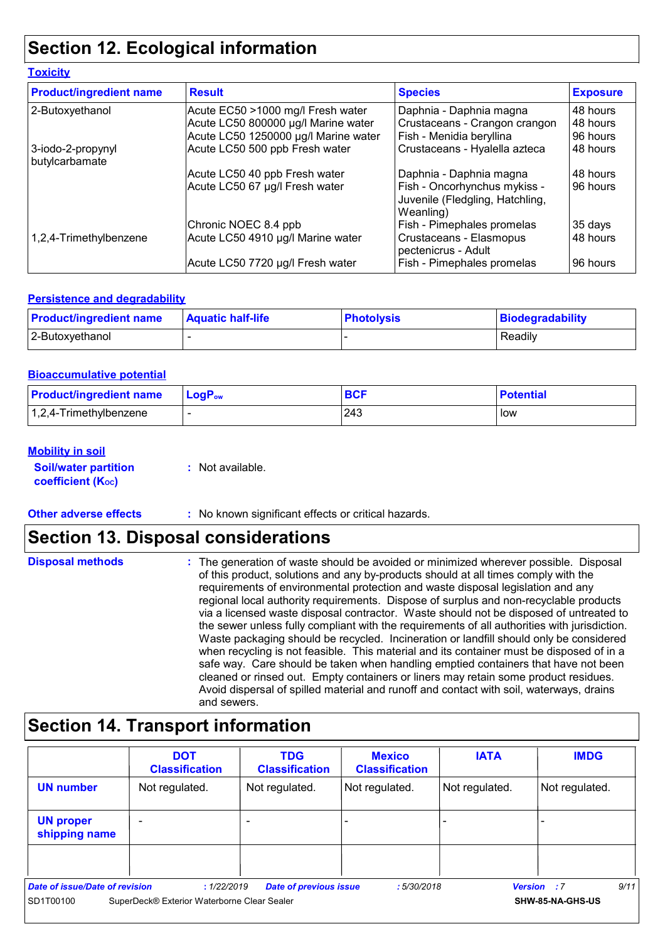## **Section 12. Ecological information**

#### **Toxicity**

| <b>Product/ingredient name</b>      | <b>Result</b>                        | <b>Species</b>                                                               | <b>Exposure</b> |
|-------------------------------------|--------------------------------------|------------------------------------------------------------------------------|-----------------|
| 2-Butoxyethanol                     | Acute EC50 >1000 mg/l Fresh water    | Daphnia - Daphnia magna                                                      | 48 hours        |
|                                     | Acute LC50 800000 µg/l Marine water  | Crustaceans - Crangon crangon                                                | 48 hours        |
|                                     | Acute LC50 1250000 µg/l Marine water | Fish - Menidia beryllina                                                     | 96 hours        |
| 3-iodo-2-propynyl<br>butylcarbamate | Acute LC50 500 ppb Fresh water       | Crustaceans - Hyalella azteca                                                | 48 hours        |
|                                     | Acute LC50 40 ppb Fresh water        | Daphnia - Daphnia magna                                                      | 48 hours        |
|                                     | Acute LC50 67 µg/l Fresh water       | Fish - Oncorhynchus mykiss -<br>Juvenile (Fledgling, Hatchling,<br>Weanling) | 96 hours        |
|                                     | Chronic NOEC 8.4 ppb                 | Fish - Pimephales promelas                                                   | 35 days         |
| 1,2,4-Trimethylbenzene              | Acute LC50 4910 µg/l Marine water    | Crustaceans - Elasmopus<br>pectenicrus - Adult                               | 48 hours        |
|                                     | Acute LC50 7720 µg/l Fresh water     | Fish - Pimephales promelas                                                   | 96 hours        |

#### **Persistence and degradability**

| <b>Product/ingredient name</b> | <b>Aquatic half-life</b> | <b>Photolysis</b> | Biodegradability |
|--------------------------------|--------------------------|-------------------|------------------|
| 2-Butoxyethanol                |                          |                   | Readily          |

#### **Bioaccumulative potential**

| <b>Product/ingredient name</b> | $\mathsf{LogP}_\mathsf{ow}$ | <b>BCF</b> | <b>Potential</b> |
|--------------------------------|-----------------------------|------------|------------------|
| $1,2,4$ -Trimethylbenzene      |                             | 243        | low              |

#### **Mobility in soil**

| <b>Soil/water partition</b> | : Not available. |
|-----------------------------|------------------|
| <b>coefficient (Koc)</b>    |                  |

**Other adverse effects** : No known significant effects or critical hazards.

### **Section 13. Disposal considerations**

| <b>Disposal methods</b> | : The generation of waste should be avoided or minimized wherever possible. Disposal         |
|-------------------------|----------------------------------------------------------------------------------------------|
|                         | of this product, solutions and any by-products should at all times comply with the           |
|                         | requirements of environmental protection and waste disposal legislation and any              |
|                         | regional local authority requirements. Dispose of surplus and non-recyclable products        |
|                         | via a licensed waste disposal contractor. Waste should not be disposed of untreated to       |
|                         | the sewer unless fully compliant with the requirements of all authorities with jurisdiction. |
|                         | Waste packaging should be recycled. Incineration or landfill should only be considered       |
|                         | when recycling is not feasible. This material and its container must be disposed of in a     |
|                         | safe way. Care should be taken when handling emptied containers that have not been           |
|                         | cleaned or rinsed out. Empty containers or liners may retain some product residues.          |
|                         | Avoid dispersal of spilled material and runoff and contact with soil, waterways, drains      |
|                         | and sewers.                                                                                  |

## **Section 14. Transport information**

|                                   | <b>DOT</b><br><b>Classification</b>         | <b>TDG</b><br><b>Classification</b> | <b>Mexico</b><br><b>Classification</b> | <b>IATA</b>    | <b>IMDG</b>                |
|-----------------------------------|---------------------------------------------|-------------------------------------|----------------------------------------|----------------|----------------------------|
| <b>UN number</b>                  | Not regulated.                              | Not regulated.                      | Not regulated.                         | Not regulated. | Not regulated.             |
| <b>UN proper</b><br>shipping name |                                             |                                     |                                        |                |                            |
|                                   |                                             |                                     |                                        |                |                            |
| Date of issue/Date of revision    | : 1/22/2019                                 | <b>Date of previous issue</b>       | :5/30/2018                             |                | 9/11<br><b>Version</b> : 7 |
| SD1T00100                         | SuperDeck® Exterior Waterborne Clear Sealer |                                     |                                        |                | SHW-85-NA-GHS-US           |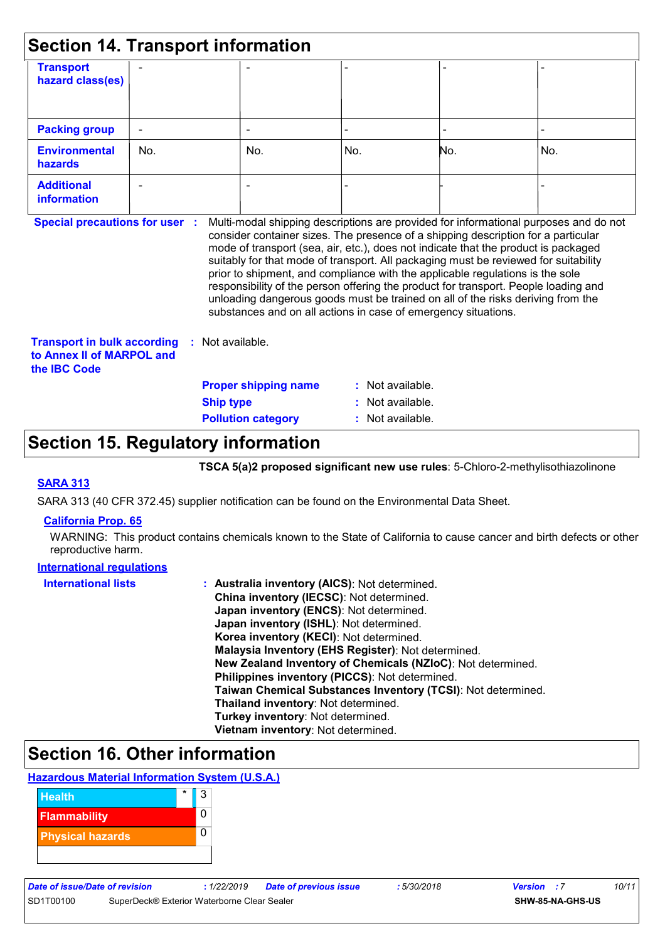| <b>Transport</b><br>hazard class(es)    |     |                                                                |     |                                                                               |                                                                                                                                                                                                                                                                                                                                                                                                                                                                                                                                  |
|-----------------------------------------|-----|----------------------------------------------------------------|-----|-------------------------------------------------------------------------------|----------------------------------------------------------------------------------------------------------------------------------------------------------------------------------------------------------------------------------------------------------------------------------------------------------------------------------------------------------------------------------------------------------------------------------------------------------------------------------------------------------------------------------|
| <b>Packing group</b>                    |     |                                                                |     |                                                                               |                                                                                                                                                                                                                                                                                                                                                                                                                                                                                                                                  |
| <b>Environmental</b><br><b>hazards</b>  | No. | No.                                                            | No. | No.                                                                           | No.                                                                                                                                                                                                                                                                                                                                                                                                                                                                                                                              |
| <b>Additional</b><br><b>information</b> |     |                                                                |     |                                                                               |                                                                                                                                                                                                                                                                                                                                                                                                                                                                                                                                  |
| <b>Special precautions for user</b>     |     | substances and on all actions in case of emergency situations. |     | prior to shipment, and compliance with the applicable regulations is the sole | Multi-modal shipping descriptions are provided for informational purposes and do not<br>consider container sizes. The presence of a shipping description for a particular<br>mode of transport (sea, air, etc.), does not indicate that the product is packaged<br>suitably for that mode of transport. All packaging must be reviewed for suitability<br>responsibility of the person offering the product for transport. People loading and<br>unloading dangerous goods must be trained on all of the risks deriving from the |

| <b>Transport in bulk according</b> | : Not available.       |
|------------------------------------|------------------------|
| to Annex II of MARPOL and          |                        |
| the <b>IBC</b> Code                |                        |
|                                    | <b>Proper shipping</b> |
|                                    | 81.                    |

#### : Not available. **g** name **Ship type :** Not available. **Pollution category :** Not available.

### **Section 15. Regulatory information**

**TSCA 5(a)2 proposed significant new use rules**: 5-Chloro-2-methylisothiazolinone

#### **SARA 313**

SARA 313 (40 CFR 372.45) supplier notification can be found on the Environmental Data Sheet.

#### **California Prop. 65**

WARNING: This product contains chemicals known to the State of California to cause cancer and birth defects or other reproductive harm.

| <b>International requlations</b> |                                                              |
|----------------------------------|--------------------------------------------------------------|
| <b>International lists</b>       | : Australia inventory (AICS): Not determined.                |
|                                  | China inventory (IECSC): Not determined.                     |
|                                  | Japan inventory (ENCS): Not determined.                      |
|                                  | Japan inventory (ISHL): Not determined.                      |
|                                  | Korea inventory (KECI): Not determined.                      |
|                                  | Malaysia Inventory (EHS Register): Not determined.           |
|                                  | New Zealand Inventory of Chemicals (NZIoC): Not determined.  |
|                                  | Philippines inventory (PICCS): Not determined.               |
|                                  | Taiwan Chemical Substances Inventory (TCSI): Not determined. |
|                                  | Thailand inventory: Not determined.                          |
|                                  | Turkey inventory: Not determined.                            |
|                                  | Vietnam inventory: Not determined.                           |

### **Section 16. Other information**

#### **Hazardous Material Information System (U.S.A.)**